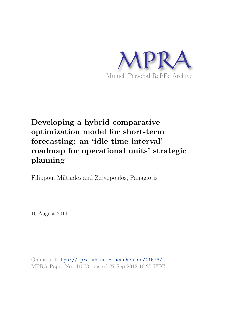

# **Developing a hybrid comparative optimization model for short-term forecasting: an 'idle time interval' roadmap for operational units' strategic planning**

Filippou, Miltiades and Zervopoulos, Panagiotis

10 August 2011

Online at https://mpra.ub.uni-muenchen.de/41573/ MPRA Paper No. 41573, posted 27 Sep 2012 10:25 UTC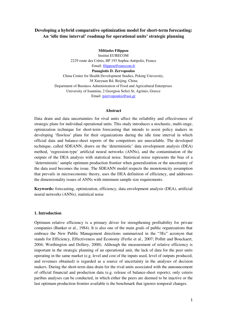# **Developing a hybrid comparative optimization model for short-term forecasting: An 'idle time interval' roadmap for operational units' strategic planning**

**Miltiades Filippou** Institut EURECOM 2229 route des Crêtes, BP 193 Sophia-Antipolis, France Email: [filippou@eurecom.fr](mailto:filippou@eurecom.fr) **Panagiotis D. Zervopoulos**  China Center for Health Development Studies, Peking University, 38 Xueyuan Rd, Beijing, China Department of Business Administration of Food and Agricultural Enterprises University of Ioannina, 2 Georgiou Seferi St, Agrinio, Greece Email: [pzervopoulos@uoi.gr](mailto:pzervopoulos@uoi.gr)

## **Abstract**

Data drain and data uncertainties for rival units affect the reliability and effectiveness of strategic plans for individual operational units. This study introduces a stochastic, multi-stage, optimization technique for short-term forecasting that intends to assist policy makers in developing 'flawless' plans for their organizations during the idle time interval in which official data and balance-sheet reports of the competitors are unavailable. The developed technique, called SDEANN, draws on the 'deterministic' data envelopment analysis (DEA) method, 'regression-type' artificial neural networks (ANNs), and the contamination of the outputs of the DEA analysis with statistical noise. Statistical noise represents the bias of a 'deterministic' sample optimum production frontier when generalization or the uncertainty of the data used becomes the issue. The SDEANN model respects the monotonicity assumption that prevails in microeconomic theory, uses the DEA definition of efficiency, and addresses the dimensionality issues of ANNs with minimum sample size requirements.

**Keywords:** forecasting, optimization, efficiency, data envelopment analysis (DEA), artificial neural networks (ANNs), statistical noise

## **1. Introduction**

Optimum relative efficiency is a primary driver for strengthening profitability for private companies (Banker et al., 1984). It is also one of the main goals of public organizations that embrace the New Public Management directions summarized in the "3Es" acronym that stands for Efficiency, Effectiveness and Economy (Ferlie et al., 2007; Pollitt and Bouckaert, 2004; Worthington and Dollery, 2000). Although the measurement of relative efficiency is important in the strategic planning of an operational unit, the lack of data for the peer units operating in the same market (e.g. level and cost of the inputs used, level of outputs produced, and revenues obtained) is regarded as a source of uncertainty in the analyses of decision makers. During the short-term data drain for the rival units associated with the announcement of official financial and production data (e.g. release of balance-sheet reports), only ceteris paribus analyses can be conducted, in which either the peers are deemed to be inactive or the last optimum production frontier available is the benchmark that ignores temporal changes.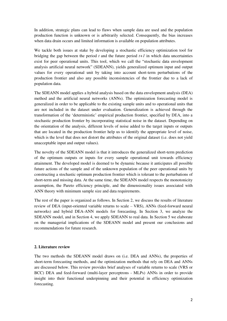In addition, strategic plans can lead to flaws when sample data are used and the population production function is unknown or is arbitrarily selected. Consequently, the bias increases when data drain occurs and limited information is available on population attributes.

We tackle both issues at stake by developing a stochastic efficiency optimization tool for bridging the gap between the period  $t$  and the future period  $t+1$  in which data uncertainties exist for peer operational units. This tool, which we call the "stochastic data envelopment analysis artificial neural network" (SDEANN), yields generalized optimum input and output values for every operational unit by taking into account short-term perturbations of the production frontier and also any possible inconsistencies of the frontier due to a lack of population data.

The SDEANN model applies a hybrid analysis based on the data envelopment analysis (DEA) method and the artificial neural networks (ANNs). The optimization forecasting model is generalized in order to be applicable to the existing sample units and to operational units that are not included in the dataset under evaluation. Generalization is achieved through the transformation of the 'deterministic' empirical production frontier, specified by DEA, into a stochastic production frontier by incorporating statistical noise in the dataset. Depending on the orientation of the analysis, different levels of noise added to the target inputs or outputs that are located in the production frontier help us to identify the appropriate level of noise, which is the level that does not distort the attributes of the original dataset (i.e. does not yield unacceptable input and output values).

The novelty of the SDEANN model is that it introduces the generalized short-term prediction of the optimum outputs or inputs for every sample operational unit towards efficiency attainment. The developed model is deemed to be dynamic because it anticipates all possible future actions of the sample and of the unknown population of the peer operational units by constructing a stochastic optimum production frontier which is tolerant to the perturbations of short-term and missing data. At the same time, the SDEANN model respects the monotonicity assumption, the Pareto efficiency principle, and the dimensionality issues associated with ANN theory with minimum sample size and data requirements.

The rest of the paper is organized as follows. In Section 2, we discuss the results of literature review of DEA (input-oriented variable returns to scale – VRS), ANNs (feed-forward neural networks) and hybrid DEA-ANN models for forecasting. In Section 3, we analyze the SDEANN model, and in Section 4, we apply SDEANN to real data. In Section 5 we elaborate on the managerial implications of the SDEANN model and present our conclusions and recommendations for future research.

# **2. Literature review**

The two methods the SDEANN model draws on (i.e. DEA and ANNs), the properties of short-term forecasting methods, and the optimization methods that rely on DEA and ANNs are discussed below. This review provides brief analyses of variable returns to scale (VRS or BCC) DEA and feed-forward (multi-layer perceptrons - MLPs) ANNs in order to provide insight into their functional underpinning and their potential in efficiency optimization forecasting.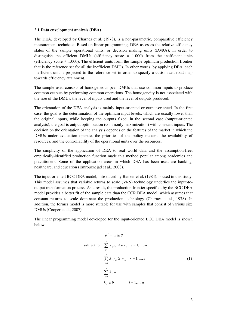#### **2.1 Data envelopment analysis (DEA)**

The DEA, developed by Charnes et al. (1978), is a non-parametric, comparative efficiency measurement technique. Based on linear programming, DEA assesses the relative efficiency status of the sample operational units, or decision making units (DMUs), in order to distinguish the efficient DMUs (efficiency score = 1.000) from the inefficient units (efficiency score  $\leq$  1.000). The efficient units form the sample optimum production frontier that is the reference set for all the inefficient DMUs. In other words, by applying DEA, each inefficient unit is projected to the reference set in order to specify a customized road map towards efficiency attainment.

The sample used consists of homogeneous peer DMUs that use common inputs to produce common outputs by performing common operations. The homogeneity is not associated with the size of the DMUs, the level of inputs used and the level of outputs produced.

The orientation of the DEA analysis is mainly input-oriented or output-oriented. In the first case, the goal is the determination of the optimum input levels, which are usually lower than the original inputs, while keeping the outputs fixed. In the second case (output-oriented analysis), the goal is output optimization (commonly maximization) with constant inputs. The decision on the orientation of the analysis depends on the features of the market in which the DMUs under evaluation operate, the priorities of the policy makers, the availability of resources, and the controllability of the operational units over the resources.

The simplicity of the application of DEA to real world data and the assumption-free, empirically-identified production function made this method popular among academics and practitioners. Some of the application areas in which DEA has been used are banking, healthcare, and education (Emrouznejad et al., 2008).

The input-oriented BCC DEA model, introduced by Banker et al. (1984), is used in this study. This model assumes that variable returns to scale (VRS) technology underlies the input-tooutput transformation process. As a result, the production frontier specified by the BCC DEA model provides a better fit of the sample data than the CCR DEA model, which assumes that constant returns to scale dominate the production technology (Charnes et al., 1978). In addition, the former model is more suitable for use with samples that consist of various size DMUs (Cooper et al., 2007).

The linear programming model developed for the input-oriented BCC DEA model is shown below:

$$
\theta^* = \min \theta
$$
  
subject to 
$$
\sum_{j=1}^n \lambda_j x_{ij} \le \theta x_{i_0} \quad i = 1, ..., m
$$

$$
\sum_{j=1}^n \lambda_j y_{rj} \ge y_{r_0} \quad r = 1, ..., s
$$

$$
\sum_{j=1}^n \lambda_j = 1
$$

$$
\lambda_j \ge 0 \qquad j = 1, ..., n
$$
 (1)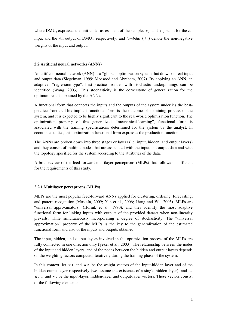where DMU<sub>o</sub> expresses the unit under assessment of the sample;  $x_{i_0}$  and  $y_{i_0}$  stand for the *i*th input and the *r*th output of DMU<sub>0</sub>, respectively; and *lambdas*  $(\lambda_j)$  denote the non-negative weights of the input and output.

# **2.2 Artificial neural networks (ANNs)**

An artificial neural network (ANN) is a "global" optimization system that draws on real input and output data (Siegelman, 1999; Maqsood and Abraham, 2007). By applying an ANN, an adaptive, "regression-type", best-practice frontier with stochastic underpinnings can be identified (Wang, 2003). This stochasticity is the cornerstone of generalization for the optimum results obtained by the ANNs.

A functional form that connects the inputs and the outputs of the system underlies the bestpractice frontier. This implicit functional form is the outcome of a training process of the system, and it is expected to be highly significant to the real-world optimization function. The optimization property of this generalized, "mechanical-learning", functional form is associated with the training specifications determined for the system by the analyst. In economic studies, this optimization functional form expresses the production function.

The ANNs are broken down into three stages or layers (i.e. input, hidden, and output layers) and they consist of multiple nodes that are associated with the input and output data and with the topology specified for the system according to the attributes of the data.

A brief review of the feed-forward multilayer perceptrons (MLPs) that follows is sufficient for the requirements of this study.

# **2.2.1 Multilayer perceptrons (MLPs)**

MLPs are the most popular feed-forward ANNs applied for clustering, ordering, forecasting, and pattern recognition (Mostafa, 2009; Yan et al., 2006; Liang and Wu, 2005). MLPs are "universal approximators" (Hornik et al., 1990), and they identify the most adaptive functional form for linking inputs with outputs of the provided dataset when non-linearity prevails, while simultaneously incorporating a degree of stochasticity. The "universal approximation" property of the MLPs is the key to the generalization of the estimated functional form and also of the inputs and outputs obtained.

The input, hidden, and output layers involved in the optimization process of the MLPs are fully connected in one direction only (Seker et al., 2003). The relationship between the nodes of the input and hidden layers, and of the nodes between the hidden and output layers depends on the weighting factors computed iteratively during the training phase of the system.

In this context, let  $w1$  and  $w2$  be the weight vectors of the input-hidden layer and of the hidden-output layer respectively (we assume the existence of a single hidden layer), and let **x** , **h** and **y** , be the input-layer, hidden-layer and output-layer vectors. These vectors consist of the following elements: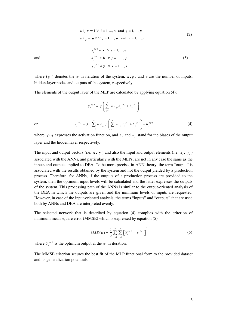$$
w1_{ij} \in \mathbf{w1} \ \forall \ i = 1, ..., n \ \text{and} \ j = 1, ..., p
$$
  

$$
w2_{jr} \in \mathbf{w2} \ \forall \ j = 1, ..., p \ \text{and} \ r = 1, ..., s
$$
 (2)

(3)

and

where 
$$
(\psi)
$$
 denotes the  $\psi$  th iteration of the system,  $n, p$ , and  $s$  are the number of inputs, hidden-layer nodes and outputs of the system, respectively.

 $x_i^{(\psi)} \in \mathbf{x} \quad \forall \quad i = 1, ..., n$  $h_j^{(\psi)} \in \mathbf{h} \quad \forall j = 1, ..., p$ 

 $y_r^{(\psi)} \in \mathbf{y} \quad \forall \quad r = 1, ..., s$ 

The elements of the output layer of the MLP are calculated by applying equation (4):

$$
y_r^{(w)} = f\left(\sum_{j=1}^p w^2_{jr} h_j^{(w)} + b_r^{(w)}\right)
$$
  

$$
y_r^{(w)} = f\left[\sum_{j=1}^p w^2_{jr} f\left(\sum_{i=1}^n w^1_{ij} x_i^{(w)} + b_j^{(w)}\right) + b_r^{(w)}\right]
$$
 (4)

or

where  $f(\cdot)$  expresses the activation function, and  $b<sub>j</sub>$  and  $b<sub>j</sub>$  stand for the biases of the output layer and the hidden layer respectively.

The input and output vectors (i.e.  $\mathbf{x}$ ,  $\mathbf{y}$ ) and also the input and output elements (i.e.  $x_i$ ,  $y_r$ ) associated with the ANNs, and particularly with the MLPs, are not in any case the same as the inputs and outputs applied to DEA. To be more precise, in ANN theory, the term "output" is associated with the results obtained by the system and not the output yielded by a production process. Therefore, for ANNs, if the outputs of a production process are provided to the system, then the optimum input levels will be calculated and the latter expresses the outputs of the system. This processing path of the ANNs is similar to the output-oriented analysis of the DEA in which the outputs are given and the minimum levels of inputs are requested. However, in case of the input-oriented analysis, the terms "inputs" and "outputs" that are used both by ANNs and DEA are interpreted evenly.

The selected network that is described by equation (4) complies with the criterion of minimum mean square error (MMSE) which is expressed by equation (5):

$$
MSE(w) = \frac{1}{2} \sum_{k=1}^{\varphi} \sum_{r=1}^{s} \left[ Y_r^{(\psi)} - y_r^{(\psi)} \right]^2
$$
 (5)

where  $Y_{r}^{(\psi)}$  is the optimum output at the  $\psi$  th iteration.

The MMSE criterion secures the best fit of the MLP functional form to the provided dataset and its generalization potentials.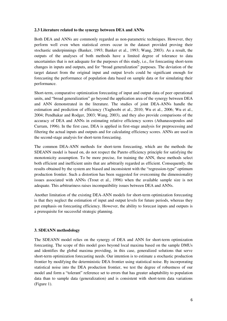## **2.3 Literature related to the synergy between DEA and ANNs**

Both DEA and ANNs are commonly regarded as non-parametric techniques. However, they perform well even when statistical errors occur in the dataset provided proving their stochastic underpinnings (Banker, 1993; Banker et al., 1993; Wang, 2003). As a result, the outputs of the analyses of both methods have a limited degree of tolerance to data uncertainties that is not adequate for the purposes of this study, i.e., for forecasting short-term changes in inputs and outputs, and for "broad generalization" purposes. The deviation of the target dataset from the original input and output levels could be significant enough for forecasting the performance of population data based on sample data or for simulating their performance.

Short-term, comparative optimization forecasting of input and output data of peer operational units, and "broad generalization" go beyond the application area of the synergy between DEA and ANN demonstrated in the literature. The studies of joint DEA-ANNs handle the estimation and prediction of efficiency (Yaghoobi et al., 2010; Wu et al., 2006; Wu et al., 2004; Pendhakar and Rodger, 2003; Wang, 2003), and they also provide comparisons of the accuracy of DEA and ANNs in estimating relative efficiency scores (Athanassopoulos and Curram, 1996). In the first case, DEA is applied in first-stage analysis for preprocessing and filtering the actual inputs and outputs and for calculating efficiency scores. ANNs are used in the second-stage analysis for short-term forecasting.

The common DEA-ANN methods for short-term forecasting, which are the methods the SDEANN model is based on, do not respect the Pareto efficiency principle for satisfying the monotonicity assumption. To be more precise, for training the ANN, these methods select both efficient and inefficient units that are arbitrarily regarded as efficient. Consequently, the results obtained by the system are biased and inconsistent with the "regression-type" optimum production frontier. Such a distortion has been suggested for overcoming the dimensionality issues associated with ANNs (Trout et al., 1996) when the available sample size is not adequate. This arbitrariness raises incompatibility issues between DEA and ANNs.

Another limitation of the existing DEA-ANN models for short-term optimization forecasting is that they neglect the estimation of input and output levels for future periods, whereas they put emphasis on forecasting efficiency. However, the ability to forecast inputs and outputs is a prerequisite for successful strategic planning.

## **3. SDEANN methodology**

The SDEANN model relies on the synergy of DEA and ANN for short-term optimization forecasting. The scope of this model goes beyond local maxima based on the sample DMUs and identifies the global maxima providing, in this case, generalized solutions that serve short-term optimization forecasting needs. Our intention is to estimate a stochastic production frontier by modifying the deterministic DEA frontier using statistical noise. By incorporating statistical noise into the DEA production frontier, we test the degree of robustness of our model and form a "tolerant" reference set to errors that has greater adaptability to population data than to sample data (generalization) and is consistent with short-term data variations (Figure 1).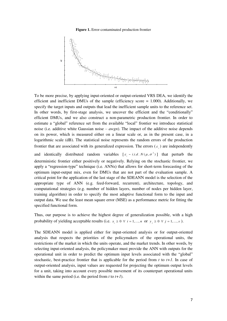**Figure 1.** Error-contaminated production frontier



To be more precise, by applying input-oriented or output-oriented VRS DEA, we identify the efficient and inefficient DMUs of the sample (efficiency score  $= 1.000$ ). Additionally, we specify the target inputs and outputs that lead the inefficient sample units to the reference set. In other words, by first-stage analysis, we uncover the efficient and the "conditionally" efficient DMUs, and we also construct a non-parametric production frontier. In order to estimate a "global" reference set from the available "local" frontier we introduce statistical noise (i.e. additive white Gaussian noise – *awgn*). The impact of the additive noise depends on its power, which is measured either on a linear scale or, as in the present case, in a logarithmic scale (dB). The statistical noise represents the random errors of the production frontier that are associated with its generalized expression. The errors  $(\varepsilon_i)$  are independently

and identically distributed random variables  $[\varepsilon_i \sim i.i.d. N(\mu, \sigma^2)]$  that perturb the deterministic frontier either positively or negatively. Relying on the stochastic frontier, we apply a "regression-type" technique (i.e. ANNs) that allows for short-term forecasting of the optimum input-output mix, even for DMUs that are not part of the evaluation sample. A critical point for the application of the last stage of the SDEANN model is the selection of the appropriate type of ANN (e.g. feed-forward, recurrent), architecture, topology, and computational strategies (e.g. number of hidden layers, number of nodes per hidden layer, training algorithm) in order to specify the most adaptive functional form to the input and output data. We use the least mean square error (MSE) as a performance metric for fitting the specified functional form.

Thus, our purpose is to achieve the highest degree of generalization possible, with a high probability of yielding acceptable results (i.e.  $x_i \geq 0 \ \forall \ i = 1,..., n$  or  $y_j \geq 0 \ \forall \ j = 1,..., s$ ).

The SDEANN model is applied either for input-oriented analysis or for output-oriented analysis that respects the priorities of the policymakers of the operational units, the restrictions of the market in which the units operate, and the market trends. In other words, by selecting input-oriented analysis, the policymaker must provide the ANN with outputs for the operational unit in order to predict the optimum input levels associated with the "global" stochastic, best-practice frontier that is applicable for the period from *t* to *t+1*. In case of output-oriented analysis, input values are requested for projecting the optimum output levels for a unit, taking into account every possible movement of its counterpart operational units within the same period (i.e. the period from *t* to *t+1*).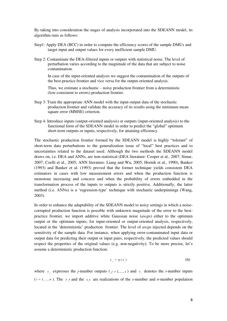By taking into consideration the stages of analysis incorporated into the SDEANN model, its algorithm runs as follows:

- Step1: Apply DEA (BCC) in order to compute the efficiency scores of the sample DMUs and target input and output values for every inefficient sample DMU.
- Step 2: Contaminate the DEA-filtered inputs or outputs with statistical noise. The level of perturbation varies according to the magnitude of the data that are subject to noise contamination.

In case of the input-oriented analysis we suggest the contamination of the outputs of the best-practice frontier and vice versa for the output-oriented analysis.

Thus, we estimate a stochastic – noisy production frontier from a deterministic (low-consistent to errors) production frontier.

- Step 3: Train the appropriate ANN model with the input-output data of the stochastic production frontier and validate the accuracy of its results using the minimum mean square error (MMSE) criterion.
- Step 4: Introduce inputs (output-oriented analysis) or outputs (input-oriented analysis) to the functional form of the SDEANN model in order to predict the "global" optimum short-term outputs or inputs, respectively, for attaining efficiency.

The stochastic production frontier formed by the SDEANN model is highly "tolerant" of short-term data perturbations to the generalization issue of "local" best practices and to uncertainties related to the dataset used. Although the two methods the SDEANN model draws on, i.e. DEA and ANNs, are non-statistical (DEA literature: Cooper et al., 2007; Simar, 2007; Coelli et al., 2005; ANN literature: Liang and Wu, 2005; Hornik et al., 1990), Banker (1993) and Banker et al. (1993) proved that the former technique yields consistent DEA estimators in cases with low measurement errors and when the production function is monotone increasing and concave and when the probability of errors embedded in the transformation process of the inputs to outputs is strictly positive. Additionally, the latter method (i.e. ANNs) is a 'regression-type' technique with stochastic underpinnings (Wang, 2003).

In order to enhance the adaptability of the SDEANN model to noisy settings in which a noisecorrupted production function is possible with unknown magnitude of the error to the bestpractice frontier, we import additive white Gaussian noise (*awgn*) either to the optimum output or the optimum inputs, for input-oriented or output-oriented analysis, respectively, located in the 'deterministic' production frontier. The level of *awgn* injected depends on the sensitivity of the sample data. For instance, when applying error-contaminated input data or output data for predicting their output or input pairs, respectively, the predicted values should respect the properties of the original values (e.g. non-negativity). To be more precise, let's assume a deterministic production function:

$$
y_j = g(x_i) \tag{6}
$$

where  $y_j$  expresses the *j*-number outputs ( $j = 1,..., s$ ) and  $x_i$  denotes the *i*-number inputs  $(i = 1, ..., n)$ . The  $y_j$  and the  $x_i$  are realizations of the *s*-number and *n*-number population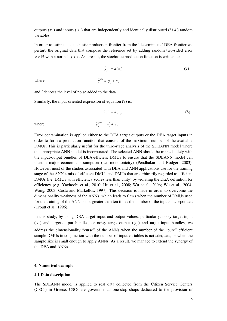outputs  $(Y)$  and inputs  $(X)$  that are independently and identically distributed  $(i.i.d.)$  random variables.

In order to estimate a stochastic production frontier from the 'deterministic' DEA frontier we perturb the original data that compose the reference set by adding random two-sided error  $\varepsilon \in \mathbb{R}$  with a normal  $f_{\varepsilon}(\cdot)$ . As a result, the stochastic production function is written as:

*j*

 $\tilde{y}_i^{(l)} = y_j + \varepsilon_j$ 

$$
\tilde{\mathbf{y}}_j^{(l)} = h(x_i) \tag{7}
$$

where

and *l* denotes the level of noise added to the data.

Similarly, the input-oriented expression of equation (7) is:

$$
\tilde{y}_j^{(l)^*} = h(x_i)
$$
\n(8)\n
$$
\tilde{y}_j^{(l)^*} = y_j^* + \varepsilon_j
$$
\n\nare the DEA target outputs or the DEA target inputs is

where ( )\* \* *<sup>l</sup>*

Error contamination is applied either to the DEA target outputs or the DEA target inputs in order to form a production function that consists of the maximum number of the available DMUs. This is particularly useful for the third-stage analysis of the SDEANN model where the appropriate ANN model is incorporated. The selected ANN should be trained solely with the input-output bundles of DEA-efficient DMUs to ensure that the SDEANN model can meet a major economic assumption (i.e. monotonicity) (Pendhakar and Rodger, 2003). However, most of the studies associated with DEA and ANN applications use for the training stage of the ANN a mix of efficient DMUs and DMUs that are arbitrarily regarded as efficient DMUs (i.e. DMUs with efficiency scores less than unity) by violating the DEA definition for efficiency (e.g. Yaghoobi et al., 2010; Hu et al., 2008; Wu et al., 2006; Wu et al., 2004; Wang, 2003; Costa and Markellos, 1997). This decision is made in order to overcome the dimensionality weakness of the ANNs, which leads to flaws when the number of DMUs used for the training of the ANN is not greater than ten times the number of the inputs incorporated (Troutt et al., 1996).

In this study, by using DEA target input and output values, particularly, noisy target-input  $(\tilde{x}_i)$  and target-output bundles, or noisy target-output  $(\tilde{y}_i)$  and target-input bundles, we address the dimensionality "curse" of the ANNs when the number of the "pure" efficient sample DMUs in conjunction with the number of input variables is not adequate, or when the sample size is small enough to apply ANNs. As a result, we manage to extend the synergy of the DEA and ANNs.

#### **4. Numerical example**

## **4.1 Data description**

The SDEANN model is applied to real data collected from the Citizen Service Centers (CSCs) in Greece. CSCs are governmental one-stop shops dedicated to the provision of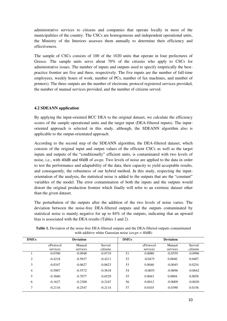administrative services to citizens and companies that operate locally in most of the municipalities of the country. The CSCs are homogeneous and independent operational units, the Ministry of the Interiors assesses them annually to determine their efficiency and effectiveness.

The sample of CSCs consists of 100 of the 1020 units that operate in four prefectures of Greece. The sample units serve about 70% of the citizens who apply to CSCs for administrative issues. The number of inputs and outputs used to specify empirically the bestpractice frontier are five and three, respectively. The five inputs are the number of full-time employees, weekly hours of work, number of PCs, number of fax machines, and number of printers). The three outputs are the number of electronic protocol registered services provided, the number of manual services provided, and the number of citizens served.

# **4.2 SDEANN application**

By applying the input-oriented BCC DEA to the original dataset, we calculate the efficiency scores of the sample operational units and the target input (DEA-filtered inputs). The inputoriented approach is selected in this study, although, the SDEANN algorithm also is applicable to the output-orientated approach.

According to the second step of the SDEANN algorithm, the DEA-filtered dataset, which consists of the original input and output values of the efficient CSCs as well as the target inputs and outputs of the "conditionally" efficient units, is contaminated with two levels of noise, i.e., with 40dB and 60dB of *awgn*. Two levels of noise are applied to the data in order to test the performance and adaptability of the data, their capacity to yield acceptable results, and consequently, the robustness of our hybrid method. In this study, respecting the inputorientation of the analysis, the statistical noise is added to the outputs that are the "constant" variables of the model. The error contamination of both the inputs and the outputs would distort the original production frontier which finally will refer to an extrinsic dataset other than the given dataset.

The perturbation of the outputs after the addition of the two levels of noise varies. The deviation between the noise-free DEA-filtered outputs and the outputs contaminated by statistical noise is mainly negative for up to 84% of the outputs, indicating that an upward bias is associated with the DEA results (Tables 1 and 2).

| <b>DMUs</b>    |           | <b>Deviation</b> | <b>DMUs</b> | <b>Deviation</b> |           |           |           |
|----------------|-----------|------------------|-------------|------------------|-----------|-----------|-----------|
|                | eProtocol | Manual           | Served      |                  | eProtocol | Manual    | Served    |
|                | services  | services         | citizens    |                  | services  | services  | citizens  |
|                | $-0.0700$ | $-0.0948$        | $-0.0719$   | 51               | 0.0080    | $-0.0559$ | $-0.0996$ |
| 2              | $-0.4218$ | $-0.5037$        | $-0.4211$   | 52               | $-0.0475$ | 0.0040    | 0.0407    |
| 3              | $-0.0347$ | $-0.0627$        | $-0.0623$   | 53               | 0.0040    | $-0.0045$ | 0.0254    |
| $\overline{4}$ | $-0.5007$ | $-0.5572$        | $-0.5618$   | 54               | $-0.0655$ | $-0.0696$ | $-0.0642$ |
| 5              | $-0.3660$ | $-0.7077$        | $-0.6529$   | 55               | 0.0043    | 0.0004    | 0.0058    |
| 6              | $-0.1627$ | $-0.2300$        | $-0.2167$   | 56               | 0.0012    | $-0.0009$ | $-0.0030$ |
| 7              | $-0.2116$ | $-0.2547$        | $-0.2114$   | 57               | 0.0103    | $-0.0390$ | 0.0156    |

**Table 1.** Deviation of the noise-free DEA-filtered outputs and the DEA-filtered outputs contaminated with additive white Gaussian noise (*awgn* = 40dB)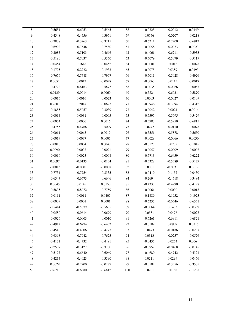| $\overline{8}$ | $-0.5654$ | $-0.6053$ | $-0.5565$ | $\overline{58}$ | $-0.0225$ | $-0.0012$ | 0.0149    |
|----------------|-----------|-----------|-----------|-----------------|-----------|-----------|-----------|
| $\overline{9}$ | $-0.4348$ | $-0.4556$ | $-0.3951$ | 59              | 0.0756    | $-0.0207$ | $-0.0218$ |
| $10\,$         | $-0.3838$ | $-0.3763$ | $-0.3715$ | 60              | $-0.6211$ | $-0.7200$ | $-0.6913$ |
| 11             | $-0.6992$ | $-0.7648$ | $-0.7580$ | 61              | $-0.0058$ | $-0.0023$ | 0.0023    |
| $12\,$         | $-0.2085$ | $-0.5103$ | $-0.4666$ | 62              | $-0.4961$ | $-0.6211$ | $-0.5933$ |
| 13             | $-0.5180$ | $-0.7037$ | $-0.5350$ | 63              | $-0.5079$ | $-0.5079$ | $-0.5119$ |
| 14             | $-0.0454$ | 0.1648    | $-0.0452$ | 64              | $-0.0001$ | 0.0018    | $-0.0078$ |
| 15             | $-0.1795$ | $-0.2222$ | $-0.1933$ | 65              | $-0.0075$ | 0.0389    | 0.0193    |
| 16             | $-0.7656$ | $-0.7788$ | $-0.7967$ | 66              | $-0.5011$ | $-0.5028$ | $-0.4926$ |
| 17             | 0.0051    | 0.0013    | $-0.0028$ | 67              | $-0.0063$ | 0.0115    | $-0.0017$ |
| $18\,$         | $-0.4772$ | $-0.6163$ | $-0.5877$ | 68              | $-0.0035$ | $-0.0066$ | $-0.0067$ |
| 19             | 0.0139    | $-0.0014$ | 0.0060    | 69              | $-0.5824$ | $-0.6021$ | $-0.5870$ |
| $20\,$         | $-0.0016$ | 0.0016    | $-0.0023$ | $70\,$          | 0.0003    | $-0.0027$ | $-0.0109$ |
| $21\,$         | 0.2807    | 0.2047    | $-0.0627$ | 71              | $-0.3946$ | $-0.3894$ | $-0.4312$ |
| $22\,$         | $-0.1855$ | $-0.5057$ | $-0.3039$ | 72              | $-0.0042$ | 0.0024    | 0.0014    |
| 23             | $-0.0014$ | 0.0031    | $-0.0005$ | 73              | $-0.5595$ | $-0.5695$ | $-0.5429$ |
| $24\,$         | $-0.0054$ | 0.0006    | 0.0016    | 74              | $-0.5983$ | $-0.5950$ | $-0.6815$ |
| $25\,$         | $-0.4755$ | $-0.4766$ | $-0.5099$ | 75              | 0.0277    | $-0.0110$ | $-0.0078$ |
| $26\,$         | $-0.0011$ | 0.0065    | 0.0019    | 76              | $-0.5551$ | $-0.5878$ | $-0.5650$ |
| $27\,$         | $-0.0019$ | 0.0037    | 0.0007    | 77              | $-0.0028$ | $-0.0066$ | 0.0030    |
| 28             | $-0.0016$ | 0.0004    | 0.0048    | 78              | $-0.0125$ | 0.0239    | $-0.1045$ |
| 29             | 0.0090    | 0.0037    | $-0.0021$ | 79              | $-0.0057$ | $-0.0009$ | $-0.0007$ |
| $30\,$         | $-0.0019$ | 0.0023    | $-0.0008$ | $80\,$          | $-0.5713$ | $-0.6459$ | $-0.6222$ |
| 31             | 0.0097    | $-0.0135$ | $-0.0134$ | 81              | $-0.5328$ | $-0.5389$ | $-0.5129$ |
| $32\,$         | $-0.0013$ | $-0.0001$ | $-0.0008$ | 82              | 0.0001    | $-0.0031$ | 0.0012    |
| 33             | $-0.7734$ | $-0.7754$ | $-0.8335$ | 83              | $-0.0419$ | 0.1152    | $-0.0430$ |
| 34             | $-0.6347$ | $-0.6673$ | $-0.6646$ | 84              | $-0.2694$ | $-0.4518$ | $-0.3484$ |
| 35             | 0.0045    | 0.0145    | 0.0150    | 85              | $-0.4335$ | $-0.4290$ | $-0.4178$ |
| 36             | $-0.5835$ | $-0.8072$ | $-0.7759$ | 86              | $-0.0061$ | 0.0030    | $-0.0018$ |
| 37             | $-0.0111$ | 0.0011    | 0.0407    | 87              | $-0.1889$ | $-0.1952$ | $-0.1923$ |
| 38             | $-0.0009$ | 0.0001    | 0.0001    | 88              | $-0.6237$ | $-0.6546$ | $-0.6551$ |
| 39             | $-0.5414$ | $-0.5679$ | $-0.5605$ | 89              | $-0.0064$ | 0.1433    | $-0.0339$ |
| $40\,$         | $-0.0580$ | $-0.0614$ | $-0.0699$ | 90              | 0.0581    | 0.0476    | $-0.0028$ |
| 41             | $-0.0026$ | $-0.0003$ | $-0.0010$ | 91              | $-0.6261$ | $-0.6911$ | $-0.6821$ |
| 42             | $-0.4912$ | $-0.6774$ | $-0.6452$ | 92              | $-0.0189$ | 0.0907    | 0.0215    |
| 43             | $-0.4540$ | $-0.4006$ | $-0.4277$ | 93              | 0.0473    | $-0.0186$ | $-0.0207$ |
| $44$           | $-0.6368$ | $-0.7942$ | $-0.7625$ | 94              | 0.0313    | $-0.0257$ | $-0.0526$ |
| 45             | $-0.4121$ | $-0.4732$ | $-0.4491$ | 95              | $-0.0435$ | 0.0254    | 0.0064    |
| $46\,$         | $-0.2587$ | $-0.3127$ | $-0.3780$ | 96              | $-0.0952$ | $-0.0468$ | $-0.0145$ |
| 47             | $-0.5177$ | $-0.6640$ | $-0.6069$ | 97              | $-0.4689$ | $-0.4742$ | $-0.4321$ |
| $48\,$         | $-0.4214$ | $-0.4023$ | $-0.3590$ | 98              | 0.0211    | 0.0299    | $-0.0456$ |
| 49             | 0.0028    | $-0.1700$ | $-0.0277$ | 99              | $-0.3502$ | $-0.3556$ | $-0.3505$ |
| 50             | $-0.6216$ | $-0.6880$ | $-0.6812$ | 100             | 0.0261    | 0.0162    | $-0.1208$ |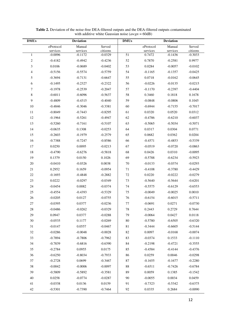| Manual<br>eProtocol<br>Manual<br>Served<br>eProtocol                            | Served     |
|---------------------------------------------------------------------------------|------------|
| services<br>services<br>citizens<br>services<br>services                        | citizens   |
| 51<br>$-0.0096$<br>$-0.1172$<br>$-0.0329$<br>0.7472<br>$-0.1436$<br>1           | $-0.3033$  |
| $\sqrt{2}$<br>$-0.4942$<br>52<br>0.7870<br>$-0.2581$<br>$-0.4182$<br>$-0.4236$  | 0.9977     |
| $\mathfrak{Z}$<br>53<br>0.0106<br>$-0.0402$<br>0.0284<br>$-0.0057$<br>$-0.0689$ | $-0.0102$  |
| $-0.5156$<br>$-0.5574$<br>$-0.5759$<br>54<br>4<br>$-0.1165$<br>$-0.1357$        | $-0.0425$  |
| 5<br>$-0.3694$<br>55<br>$-0.7131$<br>$-0.6647$<br>0.0718<br>$-0.0162$           | $-0.0645$  |
| 6<br>$-0.2327$<br>$-0.2322$<br>56<br>$-0.0135$<br>$-0.1495$<br>$-0.0226$        | $-0.0215$  |
| 7<br>57<br>$-0.1978$<br>$-0.2539$<br>$-0.2047$<br>$-0.1170$<br>$-0.2397$        | $-0.4404$  |
| $\,$ 8 $\,$<br>$-0.6011$<br>$-0.6096$<br>$-0.5637$<br>58<br>0.3460<br>0.1818    | 0.1678     |
| 9<br>$-0.4809$<br>$-0.4040$<br>59<br>$-0.0806$<br>$-0.4315$<br>$-0.0848$        | 0.1045     |
| 10<br>$-0.4846$<br>$-0.3046$<br>$-0.3381$<br>60<br>$-0.6944$<br>$-0.7155$       | $-0.7017$  |
| 11<br>61<br>$-0.8049$<br>$-0.7443$<br>$-0.8295$<br>0.0320<br>0.0520             | 0.0312     |
| 12<br>$-0.1964$<br>$-0.5261$<br>$-0.4947$<br>62<br>$-0.4786$<br>$-0.6210$       | $-0.6037$  |
| 13<br>63<br>$-0.5034$<br>$-0.5260$<br>$-0.7161$<br>$-0.5107$<br>$-0.5065$       | $-0.5071$  |
| 14<br>0.1308<br>$-0.0253$<br>64<br>0.0317<br>0.0304<br>$-0.0635$                | 0.0771     |
| 15<br>65<br>$-0.2603$<br>$-0.1979$<br>$-0.2579$<br>0.0682<br>0.0362             | 0.0204     |
| 16<br>$-0.8586$<br>66<br>$-0.4571$<br>$-0.4853$<br>$-0.7388$<br>$-0.7247$       | $-0.5339$  |
| 17<br>0.0095<br>$-0.0213$<br>67<br>0.0250<br>$-0.0519$<br>$-0.0720$             | $-0.0863$  |
| 18<br>$-0.5818$<br>68<br>0.0310<br>$-0.4790$<br>$-0.6276$<br>0.0426             | $-0.0095$  |
| 19<br>0.1026<br>69<br>0.1379<br>0.0150<br>$-0.5788$<br>$-0.6234$                | $-0.5923$  |
| $20\,$<br>$-0.0326$<br>0.0038<br>70<br>$-0.0133$<br>$-0.0374$<br>$-0.0410$      | $-0.0293$  |
| 21<br>0.2952<br>0.1659<br>$-0.0954$<br>71<br>$-0.4108$<br>$-0.3780$             | $-0.4429$  |
| $22\,$<br>$-0.4848$<br>$-0.2882$<br>72<br>0.0220<br>$-0.0222$<br>$-0.1693$      | $-0.0279$  |
| 23<br>0.0222<br>73<br>$-0.0297$<br>$-0.0349$<br>$-0.5640$<br>$-0.5644$          | $-0.6201$  |
| 0.0082<br>$-0.0374$<br>24<br>$-0.0454$<br>74<br>$-0.5575$<br>$-0.6129$          | $-0.6553$  |
| 25<br>75<br>$-0.0049$<br>$-0.0025$<br>$-0.4554$<br>$-0.4393$<br>$-0.5329$       | 0.0010     |
| 26<br>0.0127<br>$-0.0755$<br>76<br>$-0.6015$<br>$-0.0205$<br>$-0.6154$          | $-0.5711$  |
| $27\,$<br>0.0377<br>77<br>$-0.0395$<br>$-0.0236$<br>$-0.0691$<br>0.0271         | $-0.0730$  |
| 28<br>$-0.0486$<br>$-0.0262$<br>$-0.0329$<br>78<br>0.2443<br>0.2729             | 0.7644     |
| 29<br>0.0947<br>0.0377<br>$-0.0288$<br>79<br>$-0.0064$<br>0.0427                | $0.0118\,$ |
| $30\,$<br>0.1177<br>$-0.0269$<br>$-0.6505$<br>$-0.0535$<br>80<br>$-0.5780$      | $-0.6320$  |
| 31<br>$-0.0147$<br>0.0557<br>$-0.0467$<br>81<br>$-0.3444$<br>$-0.6605$          | $-0.5144$  |
| $-0.0048$<br>$-0.0028$<br>0.0097<br>$-0.0168$<br>32<br>$-0.0286$<br>82          | $-0.0074$  |
| 33<br>83<br>$-0.7894$<br>$-0.7806$<br>$-0.7962$<br>$-0.0374$<br>0.1533          | $-0.1110$  |
| $-0.6816$<br>$-0.6390$<br>34<br>$-0.7839$<br>84<br>$-0.2198$<br>$-0.4721$       | $-0.3555$  |
| 35<br>0.0955<br>0.0175<br>$-0.2784$<br>85<br>$-0.4584$<br>$-0.4144$             | $-0.4376$  |
| $-0.8034$<br>$-0.7933$<br>36<br>$-0.6250$<br>86<br>0.0259<br>0.0046             | $-0.0298$  |
| $37\,$<br>0.0699<br>$-0.2728$<br>$-0.3467$<br>87<br>$-0.1655$<br>$-0.1677$      | $-0.2280$  |
| 38<br>$-0.0006$<br>$-0.0097$<br>88<br>$-0.6511$<br>$-0.0042$<br>$-0.7426$       | $-0.6784$  |
| 39<br>89<br>0.0059<br>$-0.5809$<br>$-0.5892$<br>$-0.3581$<br>0.1385             | $-0.1542$  |
| $40\,$<br>$-0.0287$<br>$-0.0055$<br>0.0258<br>$-0.0774$<br>90<br>0.0034         | 0.0459     |
| 41<br>0.0136<br>0.0159<br>$-0.0338$<br>91<br>$-0.7323$<br>$-0.5342$             | $-0.6375$  |
| $42\,$<br>$-0.5301$<br>$-0.7390$<br>$-0.7464$<br>0.0335<br>0.2684<br>92         | $-0.0090$  |

**Table 2.** Deviation of the noise-free DEA-filtered outputs and the DEA-filtered outputs contaminated with additive white Gaussian noise (*awgn* = 60dB)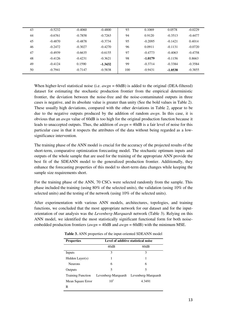| 43 | $-0.5232$ | $-0.4060$ | $-0.4800$ | 93  | 0.1069    | 0.0578    | $-0.0229$ |
|----|-----------|-----------|-----------|-----|-----------|-----------|-----------|
| 44 | $-0.6761$ | $-0.7858$ | $-0.7263$ | 94  | 0.9120    | $-0.3513$ | $-0.4477$ |
| 45 | $-0.4870$ | $-0.4878$ | $-0.3734$ | 95  | $-0.2095$ | $-0.1421$ | 0.4014    |
| 46 | $-0.2472$ | $-0.3027$ | $-0.4270$ | 96  | 0.0911    | $-0.1131$ | $-0.0720$ |
| 47 | $-0.4939$ | $-0.6635$ | $-0.6155$ | 97  | $-0.4773$ | $-0.4063$ | $-0.4758$ |
| 48 | $-0.4126$ | $-0.4231$ | $-0.3621$ | 98  | $-1.0179$ | $-0.1156$ | 0.8663    |
| 49 | $-0.4124$ | 0.1590    | $-1.3432$ | 99  | $-0.3714$ | $-0.3384$ | $-0.3584$ |
| 50 | $-0.7941$ | $-0.7147$ | $-0.5838$ | 100 | $-0.9431$ | $-1.0538$ | $-0.3855$ |
|    |           |           |           |     |           |           |           |

When higher-level statistical noise (i.e. *awgn* = 60dB) is added to the original (DEA-filtered) dataset for estimating the stochastic production frontier from the empirical deterministic frontier, the deviation between the noise-free and the noise-contaminated outputs in three cases is negative, and its absolute value is greater than unity (See the bold values in Table 2). These usually high deviations, compared with the other deviations in Table 2, appear to be due to the negative outputs produced by the addition of random *awgn*. In this case, it is obvious that an *awgn* value of 60dB is too high for the original production function because it leads to unaccepted outputs. Thus, the addition of *awgn* = 40dB is a fair level of noise for this particular case in that it respects the attributes of the data without being regarded as a lowsignificance intervention.

The training phase of the ANN model is crucial for the accuracy of the projected results of the short-term, comparative optimization forecasting model. The stochastic optimum inputs and outputs of the whole sample that are used for the training of the appropriate ANN provide the best fit of the SDEANN model to the generalized production frontier. Additionally, they enhance the forecasting properties of this model to short-term data changes while keeping the sample size requirements short.

For the training phase of the ANN, 70 CSCs were selected randomly from the sample. This phase included the training (using 80% of the selected units), the validation (using 10% of the selected units) and the testing of the network (using 10% of the selected units).

After experimentation with various ANN models, architectures, topologies, and training functions, we concluded that the most appropriate network for our dataset and for the inputorientation of our analysis was the *Levenberg-Marquardt* network (Table 3). Relying on this ANN model, we identified the most statistically significant functional form for both noiseembedded production frontiers (*awgn* = 40dB and *awgn* = 60dB) with the minimum MSE.

| <b>Properties</b>        |                     | Level of additive statistical noise |
|--------------------------|---------------------|-------------------------------------|
|                          | 40dB                | 60dB                                |
| Inputs                   | 3                   | 3                                   |
| Hidden Layer $(s)$       |                     |                                     |
| <b>Neurons</b>           | 6                   | 6                                   |
| Outputs                  | 5                   | 5                                   |
| <b>Training Function</b> | Levenberg-Marquardt | Levenberg-Marquardt                 |
| Mean Square Error        | 10 <sup>1</sup>     | 4.3491                              |
| R                        |                     |                                     |

**Table 3.** ANN properties of the input-oriented SDEANN model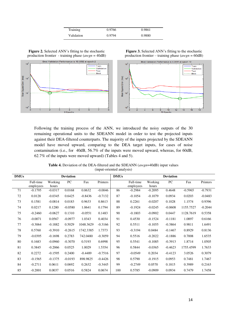| Training   | 0.9766 | 0.9861 |
|------------|--------|--------|
| Validation | 0.9794 | 0.9880 |

**Figure 2.** Selected ANN's fitting to the stochastic production frontier - training phase (*awgn* = 40dB)



Following the training process of the ANN, we introduced the noisy outputs of the 30 remaining operational units to the SDEANN model in order to test the projected inputs against their DEA-filtered counterparts. The majority of the inputs projected by the SDEANN model have moved upward, comparing to the DEA target inputs, for cases of noise contamination (i.e., for 40dB, 56.7% of the inputs were moved upward, whereas, for 60dB, 62.7% of the inputs were moved upward) (Tables 4 and 5).

**Table 4.** Deviation of the DEA-filtered and the SDEANN (*awgn*=40dB) input values (input-oriented analysis)

| <b>DMUs</b> |                        |                  | <b>Deviation</b> |           |           | <b>DMUs</b> |                        |                  | <b>Deviation</b> |           |           |
|-------------|------------------------|------------------|------------------|-----------|-----------|-------------|------------------------|------------------|------------------|-----------|-----------|
|             | Full-time<br>employees | Working<br>hours | PC               | Fax       | Printers  |             | Full-time<br>employees | Working<br>hours | PC               | Fax       | Printers  |
| 71          | $-0.1795$              | $-0.0317$        | 0.0168           | 0.0632    | $-0.0046$ | 86          | $-0.2984$              | $-0.2095$        | 0.4648           | $-0.5965$ | $-0.7931$ |
| 72          | 0.0128                 | $-0.0345$        | 0.6425           | $-0.8436$ | $-0.7132$ | 87          | $-0.1054$              | $-0.1079$        | 0.0934           | 0.0203    | $-0.0483$ |
| 73          | 0.1581                 | $-0.0814$        | 0.0183           | 0.9633    | 0.8613    | 88          | 0.2261                 | $-0.0207$        | 0.1028           | 1.1574    | 0.9396    |
| 74          | 0.0217                 | 0.1280           | $-0.0580$        | 1.0641    | 0.1794    | 89          | $-0.1924$              | $-0.0245$        | $-0.0608$        | 1155.7527 | $-0.2044$ |
| 75          | $-0.2460$              | $-0.0627$        | 0.1310           | $-0.0551$ | 0.1483    | 90          | $-0.1803$              | $-0.0902$        | 0.0447           | 1128.7619 | 0.5358    |
| 76          | $-0.0071$              | 0.0567           | $-0.0977$        | 1.0343    | 0.4034    | 91          | 0.4530                 | $-0.1524$        | $-0.1181$        | 1.0897    | 0.6166    |
| 77          | $-0.3064$              | $-0.1882$        | 0.5029           | 1048.3629 | $-0.3166$ | 92          | 0.5511                 | $-0.1055$        | $-0.3864$        | 0.9811    | 1.6491    |
| 78          | 0.5760                 | $-0.3910$        | $-0.2615$        | 1742.3385 | 1.7373    | 93          | $-0.3194$              | 0.0484           | $-0.1467$        | 0.8929    | 0.8136    |
| 79          | $-0.0395$              | $-0.1698$        | 0.2783           | 742.0480  | $-0.3059$ | 94          | 0.5516                 | $-0.2022$        | $-0.1886$        | 0.7008    | 1.6535    |
| 80          | 0.1683                 | $-0.0960$        | $-0.3070$        | 0.5193    | 0.6998    | 95          | 0.5541                 | $-0.1085$        | $-0.3913$        | 1.8714    | 1.0505    |
| 81          | 0.3845                 | $-0.2066$        | 0.0525           | 1.0029    | 1.5354    | 96          | 0.5844                 | $-0.0365$        | $-0.4623$        | 1755.4599 | 1.7633    |
| 82          | 0.2272                 | $-0.1595$        | 0.2400           | $-0.4489$ | $-0.7516$ | 97          | $-0.0549$              | 0.2034           | $-0.4123$        | 3.0526    | 0.3079    |
| 83          | $-0.1565$              | $-0.1375$        | $-0.0193$        | 898.9825  | $-0.4426$ | 98          | 0.5790                 | $-0.1915$        | 0.0953           | 0.7481    | 1.7467    |
| 84          | $-0.2711$              | 0.0611           | 0.0692           | 0.2632    | $-0.3445$ | 99          | $-0.2749$              | 0.0570           | 0.1815           | 0.3989    | 0.2163    |
| 85          | $-0.2001$              | 0.0037           | 0.0516           | 0.5824    | 0.0674    | 100         | 0.5785                 | $-0.0909$        | 0.0934           | 0.7479    | 1.7458    |

**Figure 3.** Selected ANN's fitting to the stochastic production frontier – training phase (*awgn* = 60dB)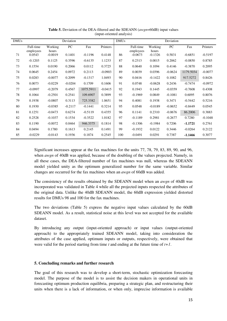| <b>DMUs</b> |                        |                  | Deviation |           |           | <b>DMUs</b> |                        |                  | Deviation |           |           |
|-------------|------------------------|------------------|-----------|-----------|-----------|-------------|------------------------|------------------|-----------|-----------|-----------|
|             | Full-time<br>employees | Working<br>hours | PC        | Fax       | Printers  |             | Full-time<br>employees | Working<br>hours | PC        | Fax       | Printers  |
| 71          | 0.0543                 | $-0.0019$        | 0.1401    | $-0.1196$ | 0.4148    | 86          | $-0.0673$              | $-0.1326$        | 0.5831    | $-0.6851$ | $-0.5197$ |
| 72          | $-0.1203$              | 0.1125           | 0.3596    | $-0.6135$ | 1.1233    | 87          | 0.2313                 | 0.0015           | 0.2062    | $-0.0850$ | 0.8785    |
| 73          | 0.1554                 | 0.0190           | 0.2066    | 0.0112    | 0.3725    | 88          | 0.0640                 | 0.1094           | 0.4146    | $-0.3870$ | 0.2095    |
| 74          | 0.0645                 | 0.2454           | 0.0972    | 0.2113    | $-0.0903$ | 89          | 0.0039                 | 0.0396           | $-0.0624$ | 1179.5034 | $-0.0077$ |
| 75          | 0.0283                 | $-0.0077$        | 0.2099    | $-0.1317$ | 1.0493    | 90          | 0.0416                 | $-0.1422$        | 0.1082    | 917.5272  | 0.8426    |
| 76          | 0.0073                 | $-0.0229$        | $-0.0204$ | 0.1709    | 0.1606    | 91          | 0.0748                 | $-0.0628$        | 0.2436    | $-0.7474$ | $-0.0972$ |
| 77          | $-0.0997$              | $-0.2079$        | 0.4567    | 1075.5911 | $-0.0415$ | 92          | 0.1943                 | 0.1445           | $-0.0359$ | $-0.7608$ | 0.4308    |
| 78          | 0.1064                 | $-0.2501$        | 0.2541    | 109.6907  | 0.3899    | 93          | $-0.1969$              | 0.0849           | $-0.1081$ | 0.6095    | 0.8076    |
| 79          | 0.1938                 | $-0.0807$        | 0.3113    | 725.3382  | 1.0651    | 94          | 0.4081                 | 0.1938           | 0.3471    | $-0.5442$ | 0.5216    |
| 80          | 0.1930                 | $-0.0385$        | $-0.2117$ | $-0.1441$ | 0.3214    | 95          | 0.0548                 | $-0.0189$        | $-0.0652$ | $-0.8449$ | 0.0545    |
| 81          | 0.1251                 | $-0.0473$        | 0.6274    | $-0.5119$ | 0.4355    | 96          | 0.1141                 | 0.2310           | $-0.0676$ | 86.2006   | 0.3883    |
| 82          | 0.2528                 | $-0.1037$        | 0.1534    | $-0.3522$ | 1.0182    | 97          | $-0.1189$              | 0.2981           | $-0.2677$ | 0.7280    | $-0.1048$ |
| 83          | 0.1190                 | $-0.0072$        | 0.0464    | 946.3375  | 0.1814    | 98          | $-0.1306$              | $-0.1984$        | 0.7206    | $-1.1721$ | 0.2761    |
| 84          | 0.0494                 | 0.1780           | 0.1613    | 0.2145    | 0.1491    | 99          | $-0.1932$              | 0.0122           | 0.3446    | $-0.0264$ | 0.2122    |
| 85          | $-0.0229$              | $-0.0143$        | 0.1936    | 0.1874    | 0.2545    | 100         | $-0.0491$              | 0.0291           | 0.7387    | $-1.1466$ | 0.3077    |

**Table 5.** Deviation of the DEA-filtered and the SDEANN (*awgn*=60dB) input values (input-oriented analysis)

Significant increases appear at the fax machines for the units 77, 78, 79, 83, 89, 90, and 96, when *awgn* of 40dB was applied, because of the doubling of the values projected. Namely, in all these cases, the DEA-filtered number of fax machines was null, whereas the SDEANN model yielded unity as the optimum generalized number for the same variable. Similar changes are occurred for the fax machines when an *awgn* of 60dB was added.

The consistency of the results obtained by the SDEANN model when an *awgn* of 40dB was incorporated was validated in Table 4 while all the projected inputs respected the attributes of the original data. Unlike the 40dB SDEANN model, the 60dB expression yielded distorted results for DMUs 98 and 100 for the fax machines.

The two deviations (Table 5) express the negative input values calculated by the 60dB SDEANN model. As a result, statistical noise at this level was not accepted for the available dataset.

By introducing any output (input-oriented approach) or input values (output-oriented approach) to the appropriately trained SDEANN model, taking into consideration the attributes of the case applied, optimum inputs or outputs, respectively, were obtained that were valid for the period starting from time *t* and ending at the future time of *t+1*.

## **5. Concluding remarks and further research**

The goal of this research was to develop a short-term, stochastic optimization forecasting model. The purpose of the model is to assist the decision makers in operational units in forecasting optimum production equilibria, preparing a strategic plan, and restructuring their units when there is a lack of information, or when only, imprecise information is available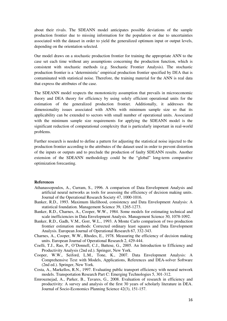about their rivals. The SDEANN model anticipates possible deviations of the sample production frontier due to missing information for the population or due to uncertainties associated with the dataset in order to yield the generalized optimum input or output levels, depending on the orientation selected.

Our model draws on a stochastic production frontier for training the appropriate ANN to the case set each time without any assumptions concerning the production function, which is consistent with stochastic methods (e.g. Stochastic Frontier Analysis). The stochastic production frontier is a 'deterministic' empirical production frontier specified by DEA that is contaminated with statistical noise. Therefore, the training material for the ANN is real data that express the attributes of the case.

The SDEANN model respects the monotonicity assumption that prevails in microeconomic theory and DEA theory for efficiency by using solely efficient operational units for the estimation of the generalized production frontier. Additionally, it addresses the dimensionality issues associated with ANNs with minimum sample size so that its applicability can be extended to sectors with small number of operational units. Associated with the minimum sample size requirements for applying the SDEANN model is the significant reduction of computational complexity that is particularly important in real-world problems.

Further research is needed to define a pattern for adjusting the statistical noise injected to the production frontier according to the attributes of the dataset used in order to prevent distortion of the inputs or outputs and to preclude the production of faulty SDEANN results. Another extension of the SDEANN methodology could be the "global" long-term comparative optimization forecasting.

## **References**

- Athanassopoulos, A., Curram, S., 1996. A comparison of Data Envelopment Analysis and artificial neural networks as tools for assessing the efficiency of decision making units. Journal of the Operational Research Society 47, 1000-1016.
- Banker, R.D., 1993. Maximum likelihood, consistency and Data Envelopment Analysis: A statistical foundation. Management Science 39, 1265-1273.
- Banker, R.D., Charnes, A., Cooper, W.W., 1984. Some models for estimating technical and scale inefficiencies in Data Envelopment Analysis. Management Science 30, 1078-1092.
- Banker, R.D., Gadh, V.M., Gorr, W.L., 1993. A Monte Carlo comparison of two production frontier estimation methods: Corrected ordinary least squares and Data Envelopment Analysis. European Journal of Operational Research 67, 332-343.
- Charnes, A., Cooper, W.W., Rhodes, E., 1978. Measuring the efficiency of decision making units. European Journal of Operational Research 2, 429-444.
- Coelli, T.J., Rao, P., O'Donnell, C.J., Battese, G., 2005. An Introduction to Efficiency and Productivity Analysis (2nd ed.). Springer, New York.
- Cooper, W.W., Seiford, L.M., Tone, K., 2007. Data Envelopment Analysis: A Comprehensive Text with Models, Applications, References and DEA-solver Software (2nd ed.). Springer, New York.
- Costa, A., Markellos, R.N., 1997. Evaluating public transport efficiency with neural network models. Transportation Research Part C: Emerging Technologies 5, 301-312.
- Emrouznejad, A., Parker, B., Tavares, G., 2008. Evaluation of research in efficiency and productivity: A survey and analysis of the first 30 years of scholarly literature in DEA. Journal of Socio-Economics Planning Science 42(3), 151-157.